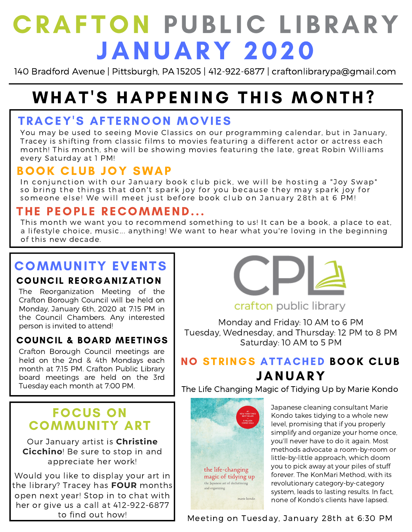# **CRAFTON PUBLIC LIBRARY** JANUARY 2020

140 Bradford Avenue | Pittsburgh, PA 15205 | 412-922-6877 | craftonlibrarypa@gmail.com

# WHAT'S HAPPENING THIS MONTH?

# TRACEY'S AFTERNOON MOVIES

You may be used to seeing Movie Classics on our programming calendar, but in January, Tracey is shifting from classic films to movies featuring a different actor or actress each month! This month, she will be showing movies featuring the late, great Robin Williams every Saturday at 1 PM!

# BOOK CLUB JOY SWAP

In conjunction with our January book club pick, we will be hosting a "Joy Swap" so bring the things that don't spark joy for you because they may spark joy for someone else! We will meet just before book club on January 28th at 6 PM!

## THE PEOPLE RECOMMEND...

This month we want you to recommend something to us! It can be a book, a place to eat, a lifestyle choice, music... anything! We want to hear what you're loving in the beginning of this new decade.

# COMMUNITY EVENTS

#### COUNCIL REORGANIZATION

The Reorganization Meeting of the Crafton Borough Council will be held on Monday, January 6th, 2020 at 7:15 PM in the Council Chambers. Any interested person is invited to attend!

#### COUNCIL & BOARD MEETINGS

Crafton Borough Council meetings are held on the 2nd & 4th Mondays each month at 7:15 PM. Crafton Public Library board meetings are held on the 3rd Tuesday each month at 7:00 PM.

# FOCUS ON COMMUNITY ART

Our January artist is **Christine Cicchino**! Be sure to stop in and appreciate her work!

Would you like to display your art in the library? Tracey has **FOUR** months open next year! Stop in to chat with her or give us a call at 412-922-6877 to find out how!



### crafton public library

Monday and Friday: 10 AM to 6 PM Tuesday, Wednesday, and Thursday: 12 PM to 8 PM Saturday: 10 AM to 5 PM

# NO STRINGS ATTACHED BOOK CLUB JANUARY

The Life Changing Magic of Tidying Up by Marie Kondo



Japanese cleaning consultant Marie Kondo takes tidying to a whole new level, promising that if you properly simplify and organize your home once, you'll never have to do it again. Most methods advocate a room-by-room or little-by-little approach, which doom you to pick away at your piles of stuff forever. The KonMari Method, with its revolutionary category-by-category system, leads to lasting results. In fact, none of Kondo's clients have lapsed.

Meeting on Tuesday, January 28th at 6:30 PM